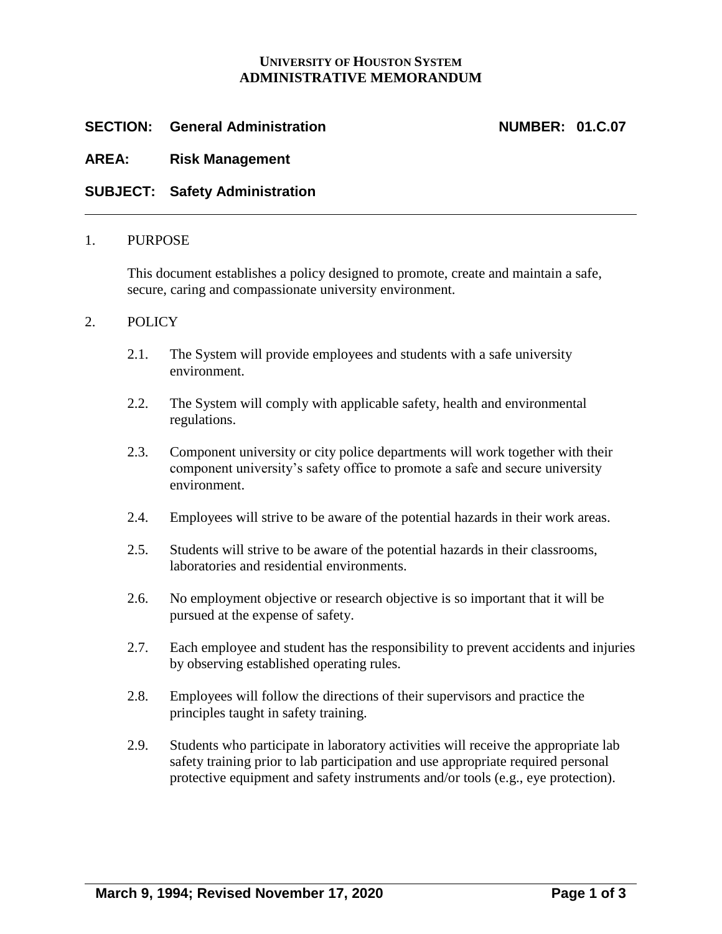# **UNIVERSITY OF HOUSTON SYSTEM ADMINISTRATIVE MEMORANDUM**

# **SECTION: General Administration NUMBER: 01.C.07**

# **AREA: Risk Management**

# **SUBJECT: Safety Administration**

#### 1. PURPOSE

This document establishes a policy designed to promote, create and maintain a safe, secure, caring and compassionate university environment.

### 2. POLICY

- 2.1. The System will provide employees and students with a safe university environment.
- 2.2. The System will comply with applicable safety, health and environmental regulations.
- 2.3. Component university or city police departments will work together with their component university's safety office to promote a safe and secure university environment.
- 2.4. Employees will strive to be aware of the potential hazards in their work areas.
- 2.5. Students will strive to be aware of the potential hazards in their classrooms, laboratories and residential environments.
- 2.6. No employment objective or research objective is so important that it will be pursued at the expense of safety.
- 2.7. Each employee and student has the responsibility to prevent accidents and injuries by observing established operating rules.
- 2.8. Employees will follow the directions of their supervisors and practice the principles taught in safety training.
- 2.9. Students who participate in laboratory activities will receive the appropriate lab safety training prior to lab participation and use appropriate required personal protective equipment and safety instruments and/or tools (e.g., eye protection).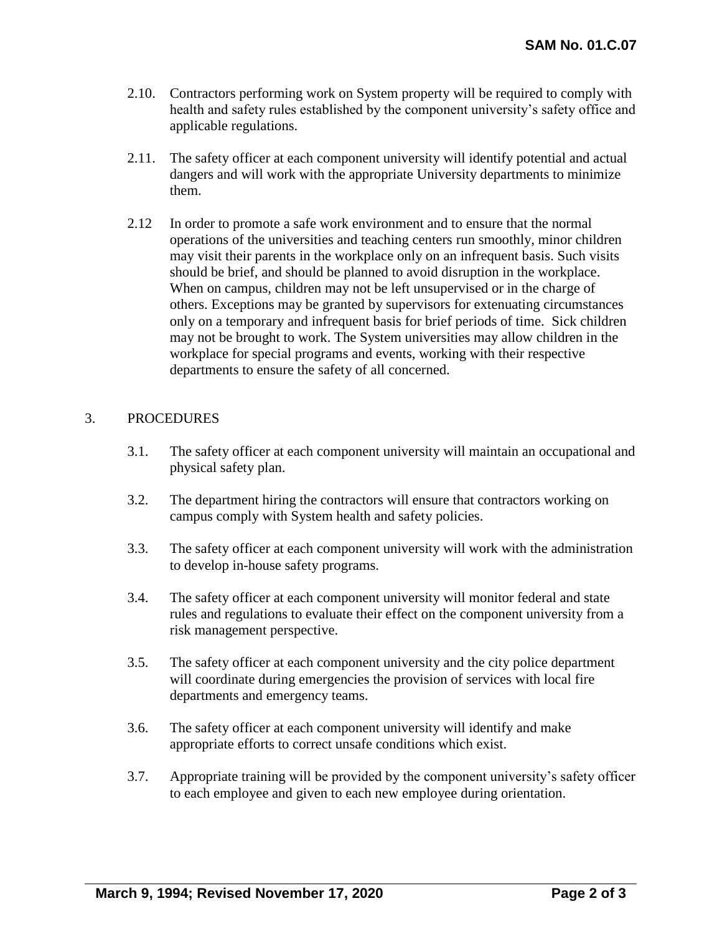- 2.10. Contractors performing work on System property will be required to comply with health and safety rules established by the component university's safety office and applicable regulations.
- 2.11. The safety officer at each component university will identify potential and actual dangers and will work with the appropriate University departments to minimize them.
- 2.12 In order to promote a safe work environment and to ensure that the normal operations of the universities and teaching centers run smoothly, minor children may visit their parents in the workplace only on an infrequent basis. Such visits should be brief, and should be planned to avoid disruption in the workplace. When on campus, children may not be left unsupervised or in the charge of others. Exceptions may be granted by supervisors for extenuating circumstances only on a temporary and infrequent basis for brief periods of time. Sick children may not be brought to work. The System universities may allow children in the workplace for special programs and events, working with their respective departments to ensure the safety of all concerned.

# 3. PROCEDURES

- 3.1. The safety officer at each component university will maintain an occupational and physical safety plan.
- 3.2. The department hiring the contractors will ensure that contractors working on campus comply with System health and safety policies.
- 3.3. The safety officer at each component university will work with the administration to develop in-house safety programs.
- 3.4. The safety officer at each component university will monitor federal and state rules and regulations to evaluate their effect on the component university from a risk management perspective.
- 3.5. The safety officer at each component university and the city police department will coordinate during emergencies the provision of services with local fire departments and emergency teams.
- 3.6. The safety officer at each component university will identify and make appropriate efforts to correct unsafe conditions which exist.
- 3.7. Appropriate training will be provided by the component university's safety officer to each employee and given to each new employee during orientation.